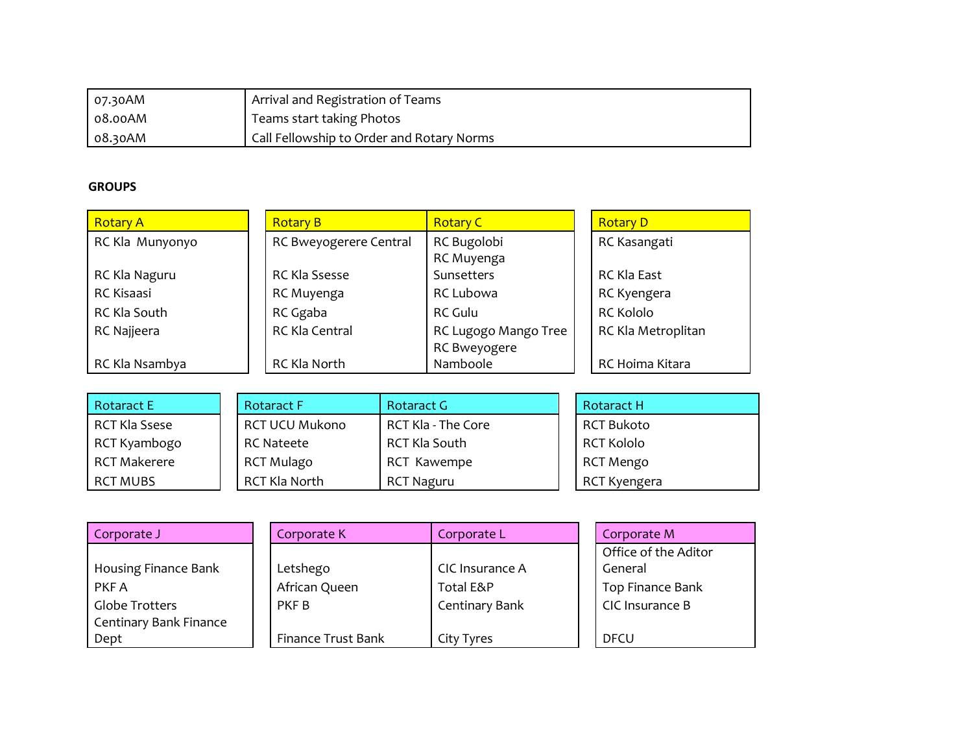| 07.30AM    | I Arrival and Registration of Teams       |
|------------|-------------------------------------------|
| 08.00AM    | Teams start taking Photos                 |
| $08.30$ AM | Call Fellowship to Order and Rotary Norms |

## **GROUPS**

| <b>Rotary A</b>   | <b>Rotary B</b>        | <b>Rotary C</b>      | <b>Rotary D</b>    |
|-------------------|------------------------|----------------------|--------------------|
| RC Kla Munyonyo   | RC Bweyogerere Central | RC Bugolobi          | RC Kasangati       |
|                   |                        | RC Muyenga           |                    |
| RC Kla Naguru     | RC Kla Ssesse          | Sunsetters           | RC Kla East        |
| <b>RC Kisaasi</b> | RC Muyenga             | RC Lubowa            | RC Kyengera        |
| RC Kla South      | RC Ggaba               | RC Gulu              | RC Kololo          |
| RC Najjeera       | RC Kla Central         | RC Lugogo Mango Tree | RC Kla Metroplitan |
|                   |                        | RC Bweyogere         |                    |
| RC Kla Nsambya    | RC Kla North           | Namboole             | RC Hoima Kitara    |

| <b>Rotaract E</b>    | <b>Rotaract F</b>     | Rotaract G                | <b>Rotaract H</b> |
|----------------------|-----------------------|---------------------------|-------------------|
| <b>RCT Kla Ssese</b> | <b>RCT UCU Mukono</b> | <b>RCT Kla - The Core</b> | <b>RCT Bukoto</b> |
| RCT Kyambogo         | <b>RC Nateete</b>     | RCT Kla South             | <b>RCT Kololo</b> |
| <b>RCT Makerere</b>  | <b>RCT Mulago</b>     | RCT Kawempe               | <b>RCT Mengo</b>  |
| <b>RCT MUBS</b>      | RCT Kla North         | <b>RCT Naguru</b>         | RCT Kyengera      |

| Corporate J            | Corporate K        | Corporate L     | Corporate M          |
|------------------------|--------------------|-----------------|----------------------|
|                        |                    |                 | Office of the Aditor |
| Housing Finance Bank   | Letshego           | CIC Insurance A | General              |
| PKF A                  | African Queen      | Total E&P       | Top Finance Bank     |
| Globe Trotters         | PKF B              | Centinary Bank  | CIC Insurance B      |
| Centinary Bank Finance |                    |                 |                      |
| Dept                   | Finance Trust Bank | City Tyres      | <b>DFCU</b>          |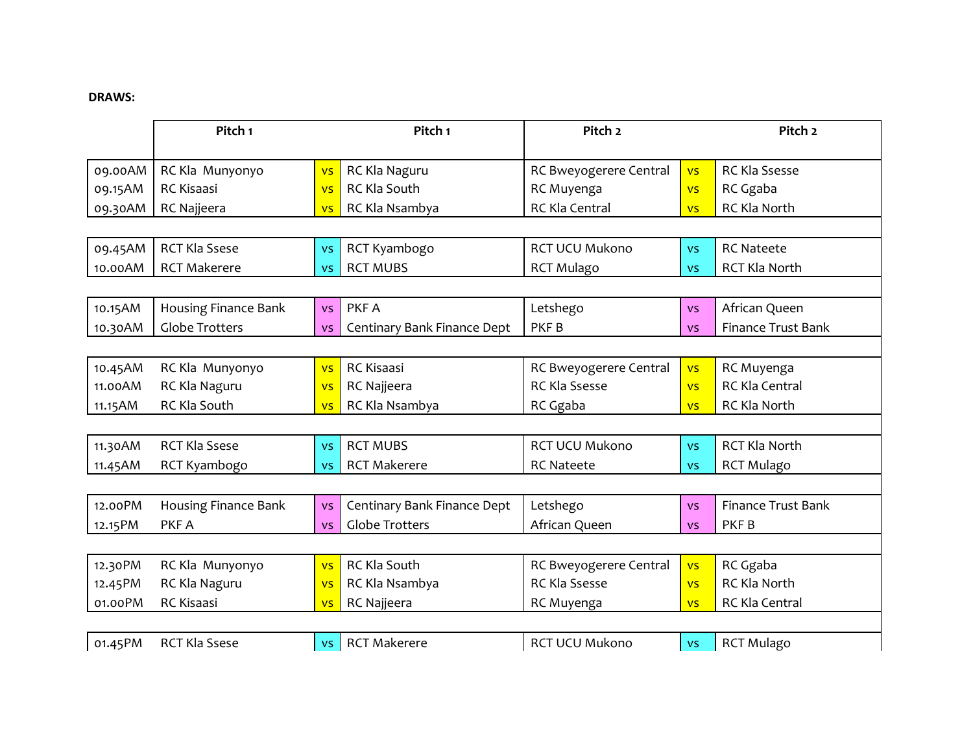## **DRAWS:**

|         | Pitch <sub>1</sub>          |           | Pitch <sub>1</sub>          | Pitch <sub>2</sub>     |           | Pitch <sub>2</sub>        |
|---------|-----------------------------|-----------|-----------------------------|------------------------|-----------|---------------------------|
| 09.00AM |                             |           |                             |                        |           | RC Kla Ssesse             |
|         | RC Kla Munyonyo             | <b>VS</b> | RC Kla Naguru               | RC Bweyogerere Central | <b>VS</b> |                           |
| 09.15AM | RC Kisaasi                  | <b>VS</b> | RC Kla South                | RC Muyenga             | <b>VS</b> | RC Ggaba                  |
| 09.30AM | RC Najjeera                 | <b>VS</b> | RC Kla Nsambya              | RC Kla Central         | <b>VS</b> | RC Kla North              |
|         |                             |           |                             |                        |           |                           |
| 09.45AM | <b>RCT Kla Ssese</b>        | <b>VS</b> | RCT Kyambogo                | <b>RCT UCU Mukono</b>  | <b>VS</b> | <b>RC Nateete</b>         |
| 10.00AM | <b>RCT Makerere</b>         | <b>VS</b> | <b>RCT MUBS</b>             | <b>RCT Mulago</b>      | <b>VS</b> | <b>RCT Kla North</b>      |
|         |                             |           |                             |                        |           |                           |
| 10.15AM | <b>Housing Finance Bank</b> | <b>VS</b> | PKF A                       | Letshego               | <b>VS</b> | African Queen             |
| 10.30AM | <b>Globe Trotters</b>       | <b>VS</b> | Centinary Bank Finance Dept | PKF <sub>B</sub>       | <b>VS</b> | Finance Trust Bank        |
|         |                             |           |                             |                        |           |                           |
| 10.45AM | RC Kla Munyonyo             | <b>VS</b> | <b>RC</b> Kisaasi           | RC Bweyogerere Central | <b>VS</b> | RC Muyenga                |
| 11.00AM | RC Kla Naguru               | <b>VS</b> | RC Najjeera                 | <b>RC Kla Ssesse</b>   | <b>VS</b> | RC Kla Central            |
| 11.15AM | RC Kla South                | <b>VS</b> | RC Kla Nsambya              | RC Ggaba               | <b>VS</b> | RC Kla North              |
|         |                             |           |                             |                        |           |                           |
| 11.30AM | <b>RCT Kla Ssese</b>        | <b>VS</b> | <b>RCT MUBS</b>             | <b>RCT UCU Mukono</b>  | <b>VS</b> | <b>RCT Kla North</b>      |
| 11.45AM | RCT Kyambogo                | <b>VS</b> | <b>RCT Makerere</b>         | <b>RC Nateete</b>      | <b>VS</b> | <b>RCT Mulago</b>         |
|         |                             |           |                             |                        |           |                           |
| 12.00PM | Housing Finance Bank        | <b>VS</b> | Centinary Bank Finance Dept | Letshego               | <b>VS</b> | <b>Finance Trust Bank</b> |
| 12.15PM | PKF A                       | <b>VS</b> | <b>Globe Trotters</b>       | African Queen          | <b>VS</b> | PKF <sub>B</sub>          |
|         |                             |           |                             |                        |           |                           |
| 12.30PM | RC Kla Munyonyo             | <b>VS</b> | RC Kla South                | RC Bweyogerere Central | <b>VS</b> | RC Ggaba                  |
| 12.45PM | RC Kla Naguru               | <b>VS</b> | RC Kla Nsambya              | <b>RC Kla Ssesse</b>   | <b>VS</b> | RC Kla North              |
| 01.00PM | RC Kisaasi                  | <b>VS</b> | RC Najjeera                 | RC Muyenga             | <b>VS</b> | RC Kla Central            |
|         |                             |           |                             |                        |           |                           |
| 01.45PM | <b>RCT Kla Ssese</b>        | <b>VS</b> | <b>RCT Makerere</b>         | RCT UCU Mukono         | <b>VS</b> | <b>RCT Mulago</b>         |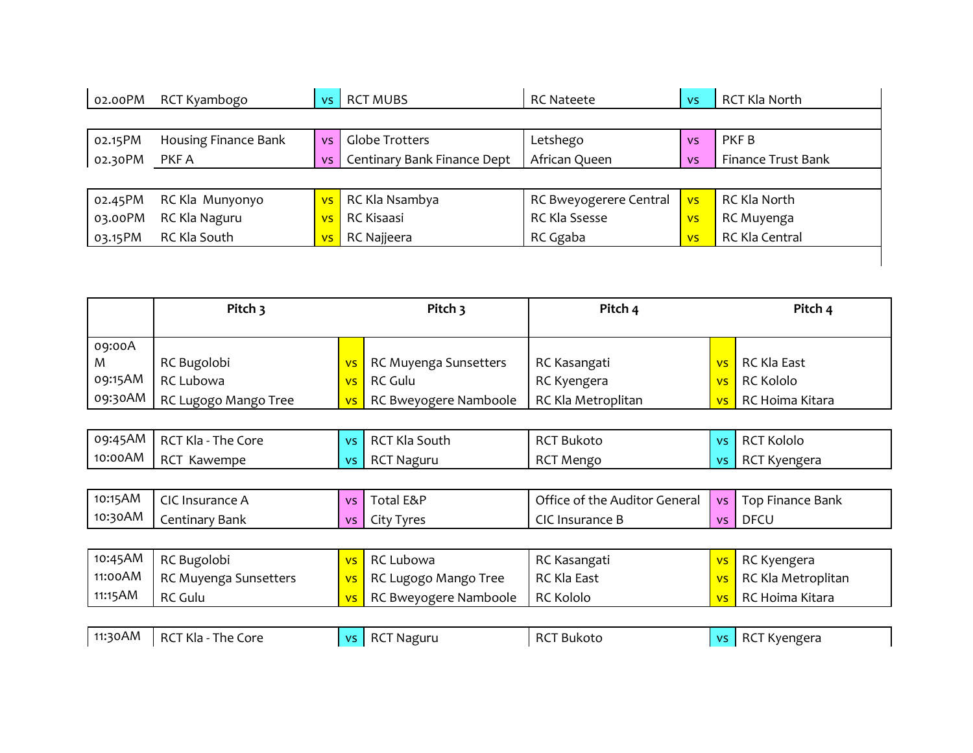| 02.00PM | RCT Kyambogo         | VS.            | <b>RCT MUBS</b>             | <b>RC Nateete</b>      | <b>VS</b> | RCT Kla North      |
|---------|----------------------|----------------|-----------------------------|------------------------|-----------|--------------------|
|         |                      |                |                             |                        |           |                    |
| 02.15PM | Housing Finance Bank | <b>VS</b>      | Globe Trotters              | Letshego               | <b>VS</b> | PKF B              |
| 02.30PM | PKF A                | <b>VS</b>      | Centinary Bank Finance Dept | African Queen          | <b>VS</b> | Finance Trust Bank |
|         |                      |                |                             |                        |           |                    |
| 02.45PM | RC Kla Munyonyo      | VS.            | RC Kla Nsambya              | RC Bweyogerere Central | <b>VS</b> | RC Kla North       |
| 03.00PM | RC Kla Naguru        | <b>VS</b>      | RC Kisaasi                  | RC Kla Ssesse          | <b>VS</b> | RC Muyenga         |
| 03.15PM | RC Kla South         | V <sub>S</sub> | RC Najjeera                 | RC Ggaba               | <b>VS</b> | RC Kla Central     |

|         | Pitch 3              |  | Pitch 3                         |                    | Pitch 4         |                 | Pitch 4 |  |
|---------|----------------------|--|---------------------------------|--------------------|-----------------|-----------------|---------|--|
| 09:00A  |                      |  |                                 |                    |                 |                 |         |  |
| M       | RC Bugolobi          |  | vs   RC Muyenga Sunsetters      | RC Kasangati       |                 | vs RC Kla East  |         |  |
| 09:15AM | RC Lubowa            |  | vs RC Gulu                      | RC Kyengera        |                 | vs RC Kololo    |         |  |
| 09:30AM | RC Lugogo Mango Tree |  | <b>vs</b> RC Bweyogere Namboole | RC Kla Metroplitan | VS <sub>1</sub> | RC Hoima Kitara |         |  |

| 09:45AM | The<br>RCT Kla -<br>Core | $\Lambda$      | RCT Kla<br>South  | <b>RCT B</b><br>Bukoto | $\Delta$       | <b>RCT Kololo</b> |
|---------|--------------------------|----------------|-------------------|------------------------|----------------|-------------------|
| 10:00AM | DCT<br>Kawempe<br>nJ.    | $\overline{1}$ | <b>RCT Naguru</b> | <b>RCT Mengo</b>       | V <sub>c</sub> | RCT Kyengera      |

| 10:15AM | CIC I<br>. Insurance A | <b>VS</b>      | Total E&P              | Office of the Auditor General | VS I | <b>Top Finance Bank</b> |
|---------|------------------------|----------------|------------------------|-------------------------------|------|-------------------------|
| 10:30AM | Centinary Bank         | V <sup>5</sup> | <u>I</u> vres<br>utv i | ี CIC<br>Insurance B          | VS   | DFCL                    |

| 10:45AM | RC Bugolobi           | vs RC Lubowa                    | RC Kasangati       | vs RC Kyengera               |
|---------|-----------------------|---------------------------------|--------------------|------------------------------|
| 11:00AM | RC Muyenga Sunsetters | <b>vs</b> RC Lugogo Mango Tree  | <b>RC Kla East</b> | <b>vs</b> RC Kla Metroplitan |
| 11:15AM | <b>RC Gulu</b>        | <b>vs</b> RC Bweyogere Namboole | <b>RC Kololo</b>   | vs RC Hoima Kitara           |

|  | $\mid$ 11:30AM $\mid$ RCT Kla - The Core |  | vs   RCT Naguru | <b>RCT Bukoto</b> |  | vs RCT Kyengera |
|--|------------------------------------------|--|-----------------|-------------------|--|-----------------|
|--|------------------------------------------|--|-----------------|-------------------|--|-----------------|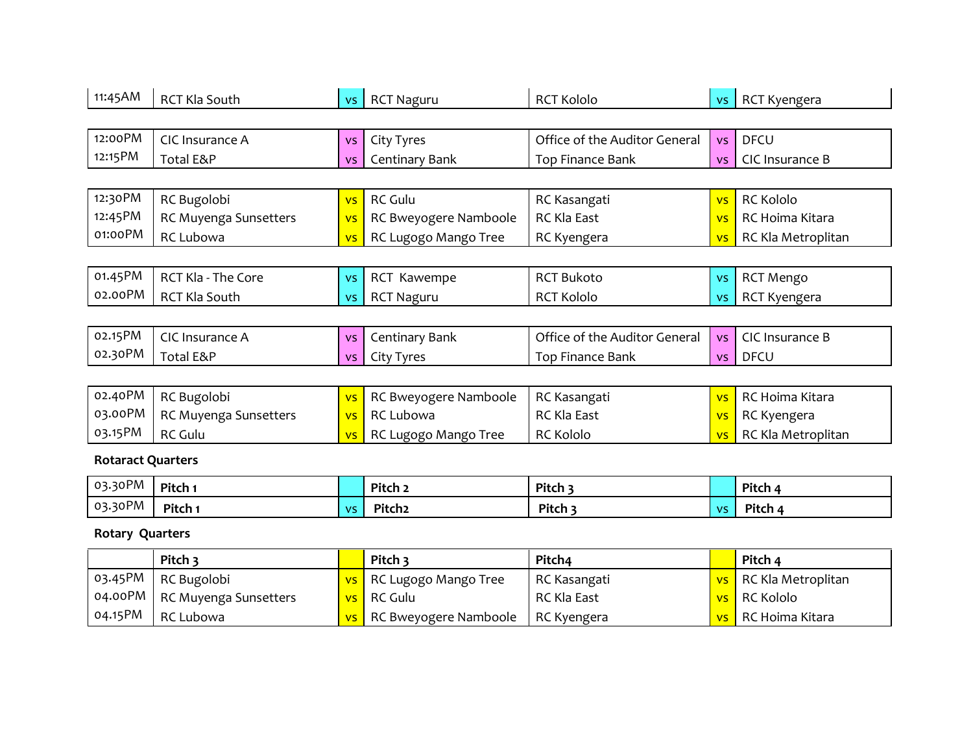| 11:45AM                  | <b>RCT Kla South</b>  | <b>VS</b> | <b>RCT Naguru</b>     | <b>RCT Kololo</b>             | VS.       | RCT Kyengera       |
|--------------------------|-----------------------|-----------|-----------------------|-------------------------------|-----------|--------------------|
|                          |                       |           |                       |                               |           |                    |
| 12:00PM                  | CIC Insurance A       | <b>VS</b> | City Tyres            | Office of the Auditor General | <b>VS</b> | <b>DFCU</b>        |
| 12:15PM                  | Total E&P             | <b>VS</b> | Centinary Bank        | Top Finance Bank              | <b>VS</b> | CIC Insurance B    |
|                          |                       |           |                       |                               |           |                    |
| 12:30 PM                 | RC Bugolobi           | <b>VS</b> | <b>RC Gulu</b>        | RC Kasangati                  | <b>VS</b> | <b>RC Kololo</b>   |
| 12:45PM                  | RC Muyenga Sunsetters | <b>VS</b> | RC Bweyogere Namboole | <b>RC Kla East</b>            | <b>VS</b> | RC Hoima Kitara    |
| 01:00PM                  | RC Lubowa             | <b>VS</b> | RC Lugogo Mango Tree  | RC Kyengera                   | <b>VS</b> | RC Kla Metroplitan |
|                          |                       |           |                       |                               |           |                    |
| 01.45PM                  | RCT Kla - The Core    | <b>VS</b> | RCT Kawempe           | <b>RCT Bukoto</b>             | <b>VS</b> | <b>RCT Mengo</b>   |
| 02.00PM                  | RCT Kla South         | <b>VS</b> | <b>RCT Naguru</b>     | <b>RCT Kololo</b>             | <b>VS</b> | RCT Kyengera       |
|                          |                       |           |                       |                               |           |                    |
| 02.15PM                  | CIC Insurance A       | <b>VS</b> | Centinary Bank        | Office of the Auditor General | <b>VS</b> | CIC Insurance B    |
| 02.30PM                  | Total E&P             | <b>VS</b> | City Tyres            | Top Finance Bank              | <b>VS</b> | <b>DFCU</b>        |
|                          |                       |           |                       |                               |           |                    |
| 02.40PM                  | RC Bugolobi           | <b>VS</b> | RC Bweyogere Namboole | RC Kasangati                  | <b>VS</b> | RC Hoima Kitara    |
| 03.00PM                  | RC Muyenga Sunsetters | <b>VS</b> | RC Lubowa             | RC Kla East                   | <b>VS</b> | RC Kyengera        |
| 03.15PM                  | <b>RC Gulu</b>        | <b>VS</b> | RC Lugogo Mango Tree  | <b>RC Kololo</b>              | <b>VS</b> | RC Kla Metroplitan |
| <b>Rotaract Quarters</b> |                       |           |                       |                               |           |                    |
| 03.30PM                  | Pitch 1               |           | Pitch <sub>2</sub>    | Pitch 3                       |           | Pitch 4            |
| 03.30PM                  | Pitch 1               | <b>VS</b> | Pitch <sub>2</sub>    | Pitch 3                       | <b>VS</b> | Pitch 4            |
| <b>Rotary Quarters</b>   |                       |           |                       |                               |           |                    |
|                          | Pitch 3               |           | Pitch 3               | Pitch4                        |           | Pitch 4            |
| 03.45PM                  | RC Bugolobi           | <b>VS</b> | RC Lugogo Mango Tree  | RC Kasangati                  | <b>VS</b> | RC Kla Metroplitan |
| 04.00PM                  | RC Muyenga Sunsetters | <b>VS</b> | <b>RC Gulu</b>        | RC Kla East                   | <b>VS</b> | <b>RC Kololo</b>   |
| 04.15PM                  | <b>RC Lubowa</b>      | <b>VS</b> | RC Bweyogere Namboole | RC Kyengera                   | <b>VS</b> | RC Hoima Kitara    |

RC Lubowa 2014 **Properts Access Report Access** RC Ryengera vs RC Hoima Kitara